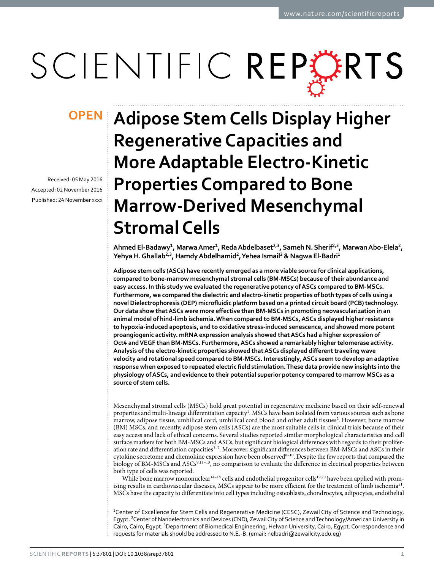# SCIENTIFIC REPERTS

Received: 05 May 2016 Accepted: 02 November 2016 Published: 24 November xxxx

## **Adipose Stem Cells Display Higher OPENRegenerative Capacities and More Adaptable Electro-Kinetic Properties Compared to Bone Marrow-Derived Mesenchymal Stromal Cells**

**Ahmed El-Badawy<sup>1</sup> , Marwa Amer<sup>1</sup> , Reda Abdelbaset<sup>2</sup>,<sup>3</sup> , Sameh N. Sherif<sup>2</sup>,<sup>3</sup> , Marwan Abo-Elela<sup>2</sup> , Yehya H. Ghallab<sup>2</sup>,<sup>3</sup> , Hamdy Abdelhamid<sup>2</sup> , Yehea Ismail<sup>2</sup> & Nagwa El-Badri<sup>1</sup>**

**Adipose stem cells (ASCs) have recently emerged as a more viable source for clinical applications, compared to bone-marrow mesenchymal stromal cells (BM-MSCs) because of their abundance and easy access. In this study we evaluated the regenerative potency of ASCs compared to BM-MSCs. Furthermore, we compared the dielectric and electro-kinetic properties of both types of cells using a novel Dielectrophoresis (DEP) microfluidic platform based on a printed circuit board (PCB) technology. Our data show that ASCs were more effective than BM-MSCs in promoting neovascularization in an animal model of hind-limb ischemia. When compared to BM-MSCs, ASCs displayed higher resistance to hypoxia-induced apoptosis, and to oxidative stress-induced senescence, and showed more potent proangiogenic activity. mRNA expression analysis showed that ASCs had a higher expression of Oct4 and VEGF than BM-MSCs. Furthermore, ASCs showed a remarkably higher telomerase activity. Analysis of the electro-kinetic properties showed that ASCs displayed different traveling wave velocity and rotational speed compared to BM-MSCs. Interestingly, ASCs seem to develop an adaptive response when exposed to repeated electric field stimulation. These data provide new insights into the physiology of ASCs, and evidence to their potential superior potency compared to marrow MSCs as a source of stem cells.**

Mesenchymal stromal cells (MSCs) hold great potential in regenerative medicine based on their self-renewal properties and multi-lineage differentiation capacity<sup>[1](#page-8-0)</sup>. MSCs have been isolated from various sources such as bone marrow, adipose tissue, umbilical cord, umbilical cord blood and other adult tissues<sup>[2](#page-8-1)</sup>. However, bone marrow (BM) MSCs, and recently, adipose stem cells (ASCs) are the most suitable cells in clinical trials because of their easy access and lack of ethical concerns. Several studies reported similar morphological characteristics and cell surface markers for both BM-MSCs and ASCs, but significant biological differences with regards to their proliferation rate and differentiation capacities<sup>3-7</sup>. Moreover, significant differences between BM-MSCs and ASCs in their cytokine secretome and chemokine expression have been observed<sup>[8–10](#page-8-3)</sup>. Despite the few reports that compared the biology of BM-MSCs and ASCs<sup>[9,](#page-8-4)[11–13](#page-8-5)</sup>, no comparison to evaluate the difference in electrical properties between both type of cells was reported.

While bone marrow mononuclear<sup>14-18</sup> cells and endothelial progenitor cells<sup>[19](#page-9-1)[,20](#page-9-2)</sup> have been applied with prom-ising results in cardiovascular diseases, MSCs appear to be more efficient for the treatment of limb ischemia<sup>[21](#page-9-3)</sup>. MSCs have the capacity to differentiate into cell types including osteoblasts, chondrocytes, adipocytes, endothelial

<sup>1</sup>Center of Excellence for Stem Cells and Regenerative Medicine (CESC), Zewail City of Science and Technology, Egypt. <sup>2</sup>Center of Nanoelectronics and Devices (CND), Zewail City of Science and Technology/American University in Cairo, Cairo, Egypt. <sup>3</sup>Department of Biomedical Engineering, Helwan University, Cairo, Egypt. Correspondence and requests for materials should be addressed to N.E.-B. (email: [nelbadri@zewailcity.edu.eg](mailto:nelbadri@zewailcity.edu.eg))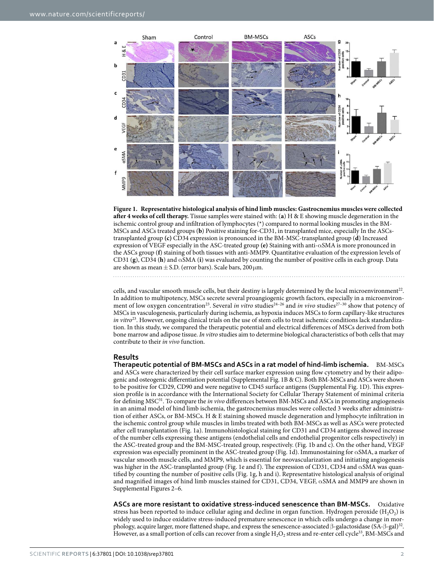

<span id="page-1-0"></span>**Figure 1. Representative histological analysis of hind limb muscles: Gastrocnemius muscles were collected after 4 weeks of cell therapy.** Tissue samples were stained with: (**a**) H & E showing muscle degeneration in the ischemic control group and infiltration of lymphocytes (\*) compared to normal looking muscles in the BM-MSCs and ASCs treated groups (**b**) Positive staining for-CD31, in transplanted mice, especially In the ASCstransplanted group **(c)** CD34 expression is pronounced in the BM-MSC-transplanted group (**d**) Increased expression of VEGF especially in the ASC-treated group **(e)** Staining with anti-α SMA is more pronounced in the ASCs group (**f**) staining of both tissues with anti-MMP9. Quantitative evaluation of the expression levels of CD31 (**g**), CD34 (**h**) and α SMA (**i**) was evaluated by counting the number of positive cells in each group. Data are shown as mean  $\pm$  S.D. (error bars). Scale bars, 200  $\mu$ m.

cells, and vascular smooth muscle cells, but their destiny is largely determined by the local microenvironment<sup>[22](#page-9-4)</sup>. In addition to multipotency, MSCs secrete several proangiogenic growth factors, especially in a microenviron-ment of low oxygen concentration<sup>[23](#page-9-5)</sup>. Several in vitro studies<sup>24-26</sup> and in vivo studies<sup>27-30</sup> show that potency of MSCs in vasculogenesis, particularly during ischemia, as hypoxia induces MSCs to form capillary-like structures in vitro<sup>[23](#page-9-5)</sup>. However, ongoing clinical trials on the use of stem cells to treat ischemic conditions lack standardization. In this study, we compared the therapeutic potential and electrical differences of MSCs derived from both bone marrow and adipose tissue. In vitro studies aim to determine biological characteristics of both cells that may contribute to their in vivo function.

### **Results**

**Therapeutic potential of BM-MSCs and ASCs in a rat model of hind-limb ischemia.** BM-MSCs and ASCs were characterized by their cell surface marker expression using flow cytometry and by their adipogenic and osteogenic differentiation potential (Supplemental Fig. 1B & C). Both BM-MSCs and ASCs were shown to be positive for CD29, CD90 and were negative to CD45 surface antigens (Supplemental Fig. 1D). This expression profile is in accordance with the International Society for Cellular Therapy Statement of minimal criteria for defining MSC<sup>[31](#page-9-8)</sup>. To compare the *in vivo* differences between BM-MSCs and ASCs in promoting angiogenesis in an animal model of hind limb ischemia, the gastrocnemius muscles were collected 3 weeks after administration of either ASCs, or BM-MSCs. H & E staining showed muscle degeneration and lymphocyte infiltration in the ischemic control group while muscles in limbs treated with both BM-MSCs as well as ASCs were protected after cell transplantation [\(Fig. 1a](#page-1-0)). Immunohistological staining for CD31 and CD34 antigens showed increase of the number cells expressing these antigens (endothelial cells and endothelial progenitor cells respectively) in the ASC-treated group and the BM-MSC-treated group, respectively. [\(Fig. 1b](#page-1-0) and c). On the other hand, VEGF expression was especially prominent in the ASC-treated group [\(Fig. 1d](#page-1-0)). Immunostaining for α SMA, a marker of vascular smooth muscle cells, and MMP9, which is essential for neovascularization and initiating angiogenesis was higher in the ASC-transplanted group [\(Fig. 1e](#page-1-0) and f). The expression of CD31, CD34 and αSMA was quantified by counting the number of positive cells ([Fig. 1g, h and i\)](#page-1-0). Representative histological analysis of original and magnified images of hind limb muscles stained for CD31, CD34, VEGF, α SMA and MMP9 are shown in Supplemental Figures 2–6.

**ASCs are more resistant to oxidative stress-induced senescence than BM-MSCs.** Oxidative stress has been reported to induce cellular aging and decline in organ function. Hydrogen peroxide  $\rm (H_{2}O_{2})$  is widely used to induce oxidative stress-induced premature senescence in which cells undergo a change in mor-phology, acquire larger, more flattened shape, and express the senescence-associated β-galactosidase (SA-β-gal)<sup>[32](#page-9-9)</sup>. However, as a small portion of cells can recover from a single  $H_2O_2$  stress and re-enter cell cycle<sup>[33](#page-9-10)</sup>, BM-MSCs and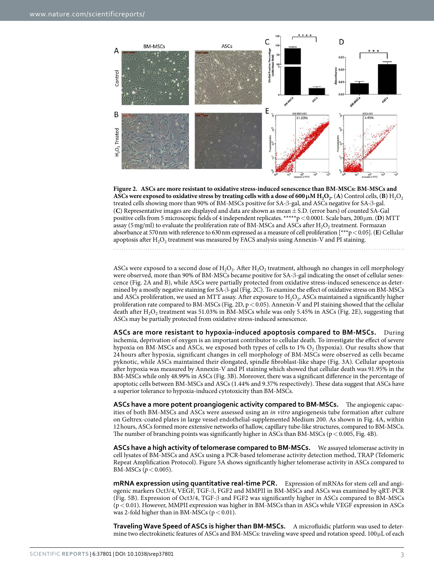

<span id="page-2-0"></span>**Figure 2. ASCs are more resistant to oxidative stress-induced senescence than BM-MSCs: BM-MSCs and**  ASCs were exposed to oxidative stress by treating cells with a dose of 600  $\mu$ M  $\rm H_2O_2$ . (A) Control cells, (B)  $\rm H_2O_2$ treated cells showing more than 90% of BM-MSCs positive for SA-β -gal, and ASCs negative for SA-β -gal. (**C**) Representative images are displayed and data are shown as mean ± S.D. (error bars) of counted SA-Gal positive cells from 5 microscopic fields of 4 independent replicates. \*\*\*\*\*p < 0.0001. Scale bars, 200  $\mu$ m. (**D**) MTT assay (5 mg/ml) to evaluate the proliferation rate of BM-MSCs and ASCs after  $\rm H_2O_2$  treatment. Formazan absorbance at 570 nm with reference to 630 nm expressed as a measure of cell proliferation [\*\*\*p < 0.05]. (**E**) Cellular apoptosis after  $\rm H_2O_2$  treatment was measured by FACS analysis using Annexin-V and PI staining.

ASCs were exposed to a second dose of  $H_2O_2$ . After  $H_2O_2$  treatment, although no changes in cell morphology were observed, more than 90% of BM-MSCs became positive for SA-β -gal indicating the onset of cellular senescence [\(Fig. 2A](#page-2-0) and B), while ASCs were partially protected from oxidative stress-induced senescence as determined by a mostly negative staining for SA-β -gal [\(Fig. 2C\)](#page-2-0). To examine the effect of oxidative stress on BM-MSCs and ASCs proliferation, we used an MTT assay. After exposure to  $H_2O_2$ , ASCs maintained a significantly higher proliferation rate compared to BM-MSCs [\(Fig. 2D,](#page-2-0)  $p < 0.05$ ). Annexin-V and PI staining showed that the cellular death after  $\rm H_2O_2$  treatment was 51.03% in BM-MSCs while was only 5.45% in ASCs ([Fig. 2E](#page-2-0)), suggesting that ASCs may be partially protected from oxidative stress-induced senescence.

**ASCs are more resistant to hypoxia-induced apoptosis compared to BM-MSCs.** During ischemia, deprivation of oxygen is an important contributor to cellular death. To investigate the effect of severe hypoxia on BM-MSCs and ASCs, we exposed both types of cells to 1%  $\mathrm{O}_2$  (hypoxia). Our results show that 24 hours after hypoxia, significant changes in cell morphology of BM-MSCs were observed as cells became pyknotic, while ASCs maintained their elongated, spindle fibroblast-like shape ([Fig. 3A\)](#page-3-0). Cellular apoptosis after hypoxia was measured by Annexin-V and PI staining which showed that cellular death was 91.95% in the BM-MSCs while only 48.99% in ASCs [\(Fig. 3B](#page-3-0)). Moreover, there was a significant difference in the percentage of apoptotic cells between BM-MSCs and ASCs (1.44% and 9.37% respectively). These data suggest that ASCs have a superior tolerance to hypoxia-induced cytotoxicity than BM-MSCs.

**ASCs have a more potent proangiogenic activity compared to BM-MSCs.** The angiogenic capacities of both BM-MSCs and ASCs were assessed using an in vitro angiogenesis tube formation after culture on Geltrex-coated plates in large vessel endothelial-supplemented Medium 200. As shown in [Fig. 4A](#page-3-1), within 12 hours, ASCs formed more extensive networks of hallow, capillary tube-like structures, compared to BM-MSCs. The number of branching points was significantly higher in ASCs than BM-MSCs ( $p < 0.005$ , [Fig. 4B](#page-3-1)).

**ASCs have a high activity of telomerase compared to BM-MSCs.** We assayed telomerase activity in cell lysates of BM-MSCs and ASCs using a PCR-based telomerase activity detection method, TRAP (Telomeric Repeat Amplification Protocol). [Figure 5A](#page-4-0) shows significantly higher telomerase activity in ASCs compared to BM-MSCs ( $p < 0.005$ ).

**mRNA expression using quantitative real-time PCR.** Expression of mRNAs for stem cell and angiogenic markers Oct3/4, VEGF, TGF-β , FGF2 and MMPII in BM-MSCs and ASCs was examined by qRT-PCR ([Fig. 5B](#page-4-0)). Expression of Oct3/4, TGF-β and FGF2 was significantly higher in ASCs compared to BM-MSCs (p < 0.01). However, MMPII expression was higher in BM-MSCs than in ASCs while VEGF expression in ASCs was 2-fold higher than in BM-MSCs ( $p < 0.01$ ).

**Traveling Wave Speed of ASCs is higher than BM-MSCs.** A microfluidic platform was used to determine two electrokinetic features of ASCs and BM-MSCs: traveling wave speed and rotation speed. 100 µL of each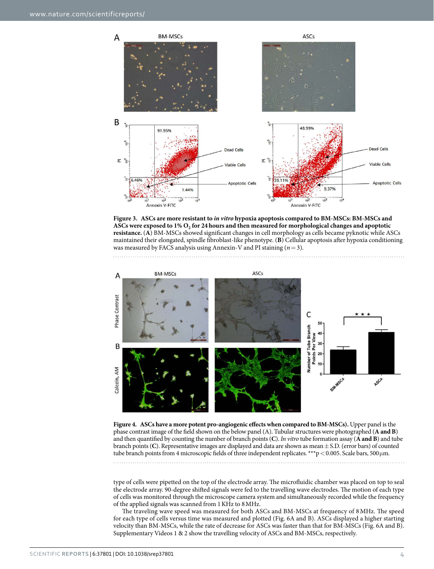

<span id="page-3-0"></span>**Figure 3. ASCs are more resistant to in vitro hypoxia apoptosis compared to BM-MSCs: BM-MSCs and ASCs were exposed to 1% O<sup>2</sup> for 24 hours and then measured for morphological changes and apoptotic resistance.** (**A**) BM-MSCs showed significant changes in cell morphology as cells became pyknotic while ASCs maintained their elongated, spindle fibroblast-like phenotype. (**B**) Cellular apoptosis after hypoxia conditioning was measured by FACS analysis using Annexin-V and PI staining  $(n=3)$ .



<span id="page-3-1"></span>**Figure 4. ASCs have a more potent pro-angiogenic effects when compared to BM-MSCs).** Upper panel is the phase contrast image of the field shown on the below panel (A). Tubular structures were photographed (**A and B**) and then quantified by counting the number of branch points (**C**). In vitro tube formation assay (**A and B**) and tube branch points (**C**). Representative images are displayed and data are shown as mean ± S.D. (error bars) of counted tube branch points from 4 microscopic fields of three independent replicates. \*\*\*p < 0.005. Scale bars, 500  $\mu$ m.

type of cells were pipetted on the top of the electrode array. The microfluidic chamber was placed on top to seal the electrode array. 90-degree shifted signals were fed to the travelling wave electrodes. The motion of each type of cells was monitored through the microscope camera system and simultaneously recorded while the frequency of the applied signals was scanned from 1 KHz to 8 MHz.

The traveling wave speed was measured for both ASCs and BM-MSCs at frequency of 8 MHz. The speed for each type of cells versus time was measured and plotted ([Fig. 6A and B\)](#page-4-1). ASCs displayed a higher starting velocity than BM-MSCs, while the rate of decrease for ASCs was faster than that for BM-MSCs ([Fig. 6A and B](#page-4-1)). Supplementary Videos 1 & 2 show the travelling velocity of ASCs and BM-MSCs, respectively.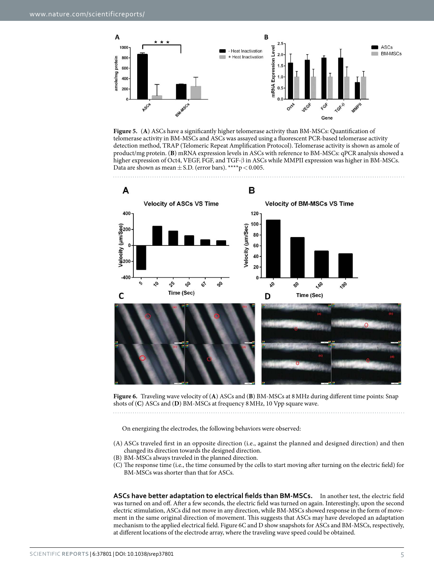

<span id="page-4-0"></span>**Figure 5.** (**A**) ASCs have a significantly higher telomerase activity than BM-MSCs: Quantification of telomerase activity in BM-MSCs and ASCs was assayed using a fluorescent PCR-based telomerase activity detection method, TRAP (Telomeric Repeat Amplification Protocol). Telomerase activity is shown as amole of product/mg protein. (**B**) mRNA expression levels in ASCs with reference to BM-MSCs: qPCR analysis showed a higher expression of Oct4, VEGF, FGF, and TGF-β in ASCs while MMPII expression was higher in BM-MSCs. Data are shown as mean  $\pm$  S.D. (error bars). \*\*\*\*p < 0.005.



<span id="page-4-1"></span>**Figure 6.** Traveling wave velocity of (**A**) ASCs and (**B**) BM-MSCs at 8 MHz during different time points: Snap shots of (**C**) ASCs and (**D**) BM-MSCs at frequency 8 MHz, 10 Vpp square wave.

On energizing the electrodes, the following behaviors were observed:

- (A) ASCs traveled first in an opposite direction (i.e., against the planned and designed direction) and then changed its direction towards the designed direction.
- (B) BM-MSCs always traveled in the planned direction.
- (C) The response time (i.e., the time consumed by the cells to start moving after turning on the electric field) for BM-MSCs was shorter than that for ASCs.

**ASCs have better adaptation to electrical fields than BM-MSCs.** In another test, the electric field was turned on and off. After a few seconds, the electric field was turned on again. Interestingly, upon the second electric stimulation, ASCs did not move in any direction, while BM-MSCs showed response in the form of movement in the same original direction of movement. This suggests that ASCs may have developed an adaptation mechanism to the applied electrical field. [Figure 6C and D](#page-4-1) show snapshots for ASCs and BM-MSCs, respectively, at different locations of the electrode array, where the traveling wave speed could be obtained.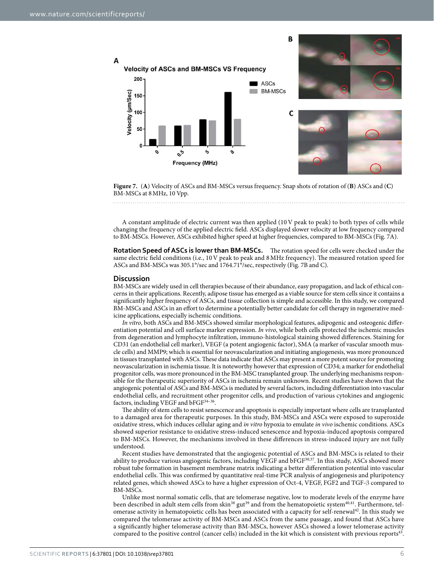

<span id="page-5-0"></span>

A constant amplitude of electric current was then applied (10 V peak to peak) to both types of cells while changing the frequency of the applied electric field. ASCs displayed slower velocity at low frequency compared to BM-MSCs. However, ASCs exhibited higher speed at higher frequencies, compared to BM-MSCs ([Fig. 7A](#page-5-0)).

**Rotation Speed of ASCs is lower than BM-MSCs.** The rotation speed for cells were checked under the same electric field conditions (i.e., 10 V peak to peak and 8 MHz frequency). The measured rotation speed for ASCs and BM-MSCs was 305.1°/sec and 1764.71°/sec, respectively ([Fig. 7B and C\)](#page-5-0).

#### **Discussion**

BM-MSCs are widely used in cell therapies because of their abundance, easy propagation, and lack of ethical concerns in their applications. Recently, adipose tissue has emerged as a viable source for stem cells since it contains a significantly higher frequency of ASCs, and tissue collection is simple and accessible. In this study, we compared BM-MSCs and ASCs in an effort to determine a potentially better candidate for cell therapy in regenerative medicine applications, especially ischemic conditions.

In vitro, both ASCs and BM-MSCs showed similar morphological features, adipogenic and osteogenic differentiation potential and cell surface marker expression. In vivo, while both cells protected the ischemic muscles from degeneration and lymphocyte infiltration, immuno-histological staining showed differences. Staining for CD31 (an endothelial cell marker), VEGF (a potent angiogenic factor), SMA (a marker of vascular smooth muscle cells) and MMP9; which is essential for neovascularization and initiating angiogenesis, was more pronounced in tissues transplanted with ASCs. These data indicate that ASCs may present a more potent source for promoting neovascularization in ischemia tissue. It is noteworthy however that expression of CD34; a marker for endothelial progenitor cells, was more pronounced in the BM-MSC transplanted group. The underlying mechanisms responsible for the therapeutic superiority of ASCs in ischemia remain unknown. Recent studies have shown that the angiogenic potential of ASCs and BM-MSCs is mediated by several factors, including differentiation into vascular endothelial cells, and recruitment other progenitor cells, and production of various cytokines and angiogenic factors, including VEGF and bFGF<sup>34-36</sup>.

The ability of stem cells to resist senescence and apoptosis is especially important where cells are transplanted to a damaged area for therapeutic purposes. In this study, BM-MSCs and ASCs were exposed to superoxide oxidative stress, which induces cellular aging and in vitro hypoxia to emulate in vivo ischemic conditions. ASCs showed superior resistance to oxidative stress-induced senescence and hypoxia-induced apoptosis compared to BM-MSCs. However, the mechanisms involved in these differences in stress-induced injury are not fully understood.

Recent studies have demonstrated that the angiogenic potential of ASCs and BM-MSCs is related to their ability to produce various angiogenic factors, including VEGF and bFGF<sup>[30](#page-9-12),[37](#page-9-13)</sup>. In this study, ASCs showed more robust tube formation in basement membrane matrix indicating a better differentiation potential into vascular endothelial cells. This was confirmed by quantitative real-time PCR analysis of angiogenesis and pluripotency related genes, which showed ASCs to have a higher expression of Oct-4, VEGF, FGF2 and TGF-β compared to BM-MSCs.

Unlike most normal somatic cells, that are telomerase negative, low to moderate levels of the enzyme have been described in adult stem cells from skin<sup>[38](#page-9-14)</sup> gut<sup>[39](#page-9-15)</sup> and from the hematopoietic system<sup>[40,](#page-9-16)[41](#page-9-17)</sup>. Furthermore, tel-omerase activity in hematopoietic cells has been associated with a capacity for self-renewal<sup>[42](#page-9-18)</sup>. In this study we compared the telomerase activity of BM-MSCs and ASCs from the same passage, and found that ASCs have a significantly higher telomerase activity than BM-MSCs, however ASCs showed a lower telomerase activity compared to the positive control (cancer cells) included in the kit which is consistent with previous reports<sup>[43](#page-9-19)</sup>.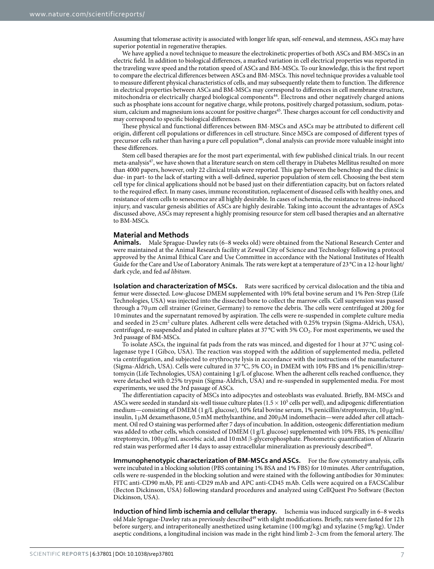Assuming that telomerase activity is associated with longer life span, self-renewal, and stemness, ASCs may have superior potential in regenerative therapies.

We have applied a novel technique to measure the electrokinetic properties of both ASCs and BM-MSCs in an electric field. In addition to biological differences, a marked variation in cell electrical properties was reported in the traveling wave speed and the rotation speed of ASCs and BM-MSCs. To our knowledge, this is the first report to compare the electrical differences between ASCs and BM-MSCs. This novel technique provides a valuable tool to measure different physical characteristics of cells, and may subsequently relate them to function. The difference in electrical properties between ASCs and BM-MSCs may correspond to differences in cell membrane structure, mitochondria or electrically charged biological components[44](#page-9-20). Electrons and other negatively charged anions such as phosphate ions account for negative charge, while protons, positively charged potassium, sodium, potas-sium, calcium and magnesium ions account for positive charges<sup>[45](#page-9-21)</sup>. These charges account for cell conductivity and may correspond to specific biological differences.

These physical and functional differences between BM-MSCs and ASCs may be attributed to different cell origin, different cell populations or differences in cell structure. Since MSCs are composed of different types of precursor cells rather than having a pure cell population<sup>[46](#page-9-22)</sup>, clonal analysis can provide more valuable insight into these differences.

Stem cell based therapies are for the most part experimental, with few published clinical trials. In our recent meta-analysis<sup>[47](#page-9-23)</sup>, we have shown that a literature search on stem cell therapy in Diabetes Mellitus resulted on more than 4000 papers, however, only 22 clinical trials were reported. This gap between the benchtop and the clinic is due- in part- to the lack of starting with a well-defined, superior population of stem cell. Choosing the best stem cell type for clinical applications should not be based just on their differentiation capacity, but on factors related to the required effect. In many cases, immune reconstitution, replacement of diseased cells with healthy ones, and resistance of stem cells to senescence are all highly desirable. In cases of ischemia, the resistance to stress-induced injury, and vascular genesis abilities of ASCs are highly desirable. Taking into account the advantages of ASCs discussed above, ASCs may represent a highly promising resource for stem cell based therapies and an alternative to BM-MSCs.

#### **Material and Methods**

**Animals.** Male Sprague-Dawley rats (6–8 weeks old) were obtained from the National Research Center and were maintained at the Animal Research facility at Zewail City of Science and Technology following a protocol approved by the Animal Ethical Care and Use Committee in accordance with the National Institutes of Health Guide for the Care and Use of Laboratory Animals. The rats were kept at a temperature of 23 °C in a 12-hour light/ dark cycle, and fed ad libitum.

**Isolation and characterization of MSCs.** Rats were sacrificed by cervical dislocation and the tibia and femur were dissected. Low-glucose DMEM supplemented with 10% fetal bovine serum and 1% Pen-Strep (Life Technologies, USA) was injected into the dissected bone to collect the marrow cells. Cell suspension was passed through a 70  $\mu$ m cell strainer (Greiner, Germany) to remove the debris. The cells were centrifuged at 200 g for 10 minutes and the supernatant removed by aspiration. The cells were re-suspended in complete culture media and seeded in 25 cm<sup>2</sup> culture plates. Adherent cells were detached with 0.25% trypsin (Sigma-Aldrich, USA), centrifuged, re-suspended and plated in culture plates at 37 °C with 5%  $CO_2$ . For most experiments, we used the 3rd passage of BM-MSCs.

To isolate ASCs, the inguinal fat pads from the rats was minced, and digested for 1 hour at 37 °C using collagenase type I (Gibco, USA). The reaction was stopped with the addition of supplemented media, pelleted via centrifugation, and subjected to erythrocyte lysis in accordance with the instructions of the manufacturer (Sigma-Aldrich, USA). Cells were cultured in 37 °C, 5% CO<sub>2</sub> in DMEM with 10% FBS and 1% penicillin/streptomycin (Life Technologies, USA) containing 1 g/L of glucose. When the adherent cells reached confluence, they were detached with 0.25% trypsin (Sigma-Aldrich, USA) and re-suspended in supplemented media. For most experiments, we used the 3rd passage of ASCs.

The differentiation capacity of MSCs into adipocytes and osteoblasts was evaluated. Briefly, BM-MSCs and ASCs were seeded in standard six-well tissue culture plates  $(1.5 \times 10^5 \text{ cells per well})$ , and adipogenic differentiation medium—consisting of DMEM (1 g/L glucose), 10% fetal bovine serum, 1% penicillin/streptomycin, 10 µg/mL insulin,  $1 \mu$ M dexamethasone, 0.5 mM methylxanthine, and  $200 \mu$ M indomethacin—were added after cell attachment. Oil red O staining was performed after 7 days of incubation. In addition, osteogenic differentiation medium was added to other cells, which consisted of DMEM (1 g/L glucose) supplemented with 10% FBS, 1% penicillin/ streptomycin, 100 μg/mL ascorbic acid, and 10 mM β-glycerophosphate. Photometric quantification of Alizarin red stain was performed after 14 days to assay extracellular mineralization as previously described<sup>[48](#page-9-24)</sup>.

**Immunophenotypic characterization of BM-MSCs and ASCs.** For the flow cytometry analysis, cells were incubated in a blocking solution (PBS containing 1% BSA and 1% FBS) for 10 minutes. After centrifugation, cells were re-suspended in the blocking solution and were stained with the following antibodies for 30 minutes: FITC anti-CD90 mAb, PE anti-CD29 mAb and APC anti-CD45 mAb. Cells were acquired on a FACSCalibur (Becton Dickinson, USA) following standard procedures and analyzed using CellQuest Pro Software (Becton Dickinson, USA).

**Induction of hind limb ischemia and cellular therapy.** Ischemia was induced surgically in 6–8 weeks old Male Sprague-Dawley rats as previously described<sup>[49](#page-9-25)</sup> with slight modifications. Briefly, rats were fasted for 12 h before surgery, and intraperitoneally anesthetized using ketamine (100 mg/kg) and xylazine (5 mg/kg). Under aseptic conditions, a longitudinal incision was made in the right hind limb 2–3 cm from the femoral artery. The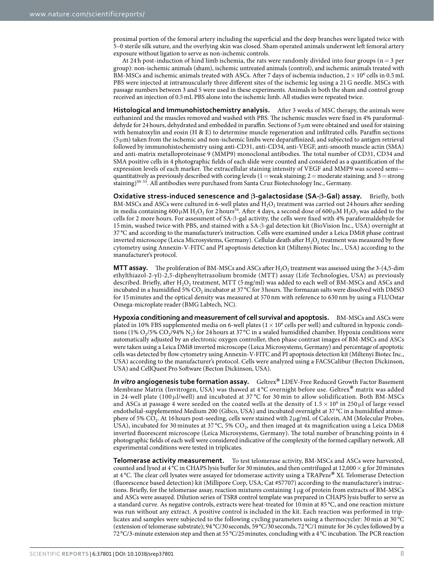proximal portion of the femoral artery including the superficial and the deep branches were ligated twice with 5–0 sterile silk suture, and the overlying skin was closed. Sham operated animals underwent left femoral artery exposure without ligation to serve as non-ischemic controls.

At 24 h post-induction of hind limb ischemia, the rats were randomly divided into four groups ( $n = 3$  per group): non-ischemic animals (sham), ischemic untreated animals (control), and ischemic animals treated with BM-MSCs and ischemic animals treated with ASCs. After 7 days of ischemia induction,  $2 \times 10^6$  cells in 0.5 mL PBS were injected at intramuscularly three different sites of the ischemic leg using a 21 G needle. MSCs with passage numbers between 3 and 5 were used in these experiments. Animals in both the sham and control group received an injection of 0.5 mL PBS alone into the ischemic limb. All studies were repeated twice.

**Histological and Immunohistochemistry analysis.** After 3 weeks of MSC therapy, the animals were euthanized and the muscles removed and washed with PBS. The ischemic muscles were fixed in 4% paraformaldehyde for 24 hours, dehydrated and embedded in paraffin. Sections of 5  $\mu$ m were obtained and used for staining with hematoxylin and eosin (H & E) to determine muscle regeneration and infiltrated cells. Paraffin sections  $(5 \mu m)$  taken from the ischemic and non-ischemic limbs were deparaffinized, and subjected to antigen retrieval followed by immunohistochemistry using anti-CD31, anti-CD34, anti-VEGF, anti-smooth muscle actin (SMA) and anti-matrix metalloproteinase 9 (MMP9) monoclonal antibodies. The total number of CD31, CD34 and SMA positive cells in 4 photographic fields of each slide were counted and considered as a quantification of the expression levels of each marker. The extracellular staining intensity of VEGF and MMP9 was scored semi quantitatively as previously described with coring levels  $(1 = \text{weak staining}; 2 = \text{moderate staining}; \text{and } 3 = \text{strong}$ staining)<sup>50-53</sup>. All antibodies were purchased from Santa Cruz Biotechnology Inc., Germany.

**Oxidative stress-induced senescence and β-galactosidase (SA-β-Gal) assay.** Briefly, both BM-MSCs and ASCs were cultured in 6-well plates and  $H_2O_2$  treatment was carried out 24 hours after seeding in media containing 600µM  $\rm H_2O_2$  for 2 hours<sup>[54](#page-10-0)</sup>. After 4 days, a second dose of 600µM  $\rm H_2O_2$  was added to the cells for 2 more hours. For assessment of SA-β -gal activity, the cells were fixed with 4% paraformaldehyde for 15 min, washed twice with PBS, and stained with a SA-β -gal detection kit (BioVision Inc., USA) overnight at 37 °C and according to the manufacturer's instruction. Cells were examined under a Leica DMi8 phase contrast inverted microscope (Leica Microsystems, Germany). Cellular death after  $\rm H_2O_2$  treatment was measured by flow cytometry using Annexin-V-FITC and PI apoptosis detection kit (Miltenyi Biotec Inc., USA) according to the manufacturer's protocol.

**MTT assay.** The proliferation of BM-MSCs and ASCs after  $H_2O_2$  treatment was assessed using the 3-(4,5-dim ethylthiazol-2-yl)-2,5-diphenyltetrazolium bromide (MTT) assay (Life Technologies, USA) as previously described. Briefly, after  $\rm H_2O_2$  treatment, MTT (5 mg/ml) was added to each well of BM-MSCs and ASCs and incubated in a humidified 5% CO<sub>2</sub> incubator at 37 °C for 3 hours. The formazan salts were dissolved with DMSO for 15 minutes and the optical density was measured at 570 nm with reference to 630 nm by using a FLUOstar Omega-microplate reader (BMG Labtech, NC).

**Hypoxia conditioning and measurement of cell survival and apoptosis.** BM-MSCs and ASCs were plated in 10% FBS supplemented media on 6-well plates  $(1 \times 10^6 \text{ cells per well})$  and cultured in hypoxic conditions (1% O<sub>2</sub>/5% CO<sub>2</sub>/94% N<sub>2</sub>) for 24 hours at 37 °C in a sealed humidified chamber. Hypoxia conditions were automatically adjusted by an electronic oxygen controller, then phase contrast images of BM-MSCs and ASCs were taken using a Leica DMi8 inverted microscope (Leica Microsystems, Germany) and percentage of apoptotic cells was detected by flow cytometry using Annexin-V-FITC and PI apoptosis detection kit (Miltenyi Biotec Inc., USA) according to the manufacturer's protocol. Cells were analyzed using a FACSCalibur (Becton Dickinson, USA) and CellQuest Pro Software (Becton Dickinson, USA).

*In vitro* **angiogenesis tube formation assay.** Geltrex® LDEV-Free Reduced Growth Factor Basement Membrane Matrix (Invitrogen, USA) was thawed at 4 °C overnight before use. Geltrex<sup>®</sup> matrix was added<br>in 24 well plate (100 ul/well) and incubated at 37 °C for 30 min to ellow solidification. Both PM MSCs in 24-well plate (100  $\mu$ l/well) and incubated at 37 °C for 30 min to allow solidification. Both BM-MSCs and ASCs at passage 4 were seeded on the coated wells at the density of  $1.5 \times 10^6$  in 250 µl of large vessel endothelial-supplemented Medium 200 (Gibco, USA) and incubated overnight at 37 °C in a humidified atmosphere of 5% CO<sub>2</sub>. At 16 hours post-seeding, cells were stained with 2 µg/mL of Calcein, AM (Molecular Probes, USA), incubated for 30 minutes at 37 °C, 5% CO<sub>2</sub>, and then imaged at 4x magnification using a Leica DMi8 inverted fluorescent microscope (Leica Microsystems, Germany). The total number of branching points in 4 photographic fields of each well were considered indicative of the complexity of the formed capillary network. All experimental conditions were tested in triplicates.

**Telomerase activity measurement.** To test telomerase activity, BM-MSCs and ASCs were harvested, counted and lysed at  $4^{\circ}$ C in CHAPS lysis buffer for 30 minutes, and then centrifuged at 12,000  $\times$  g for 20 minutes at 4 °C. The clear cell lysates were assayed for telomerase activity using a TRAPeze® XL Telomerase Detection<br>(fluorescence based detection) kit (Millipere Cern USA) Cet #\$7707) according to the manufacturer's instruc (fluorescence based detection) kit (Millipore Corp, USA; Cat #S7707) according to the manufacturer's instructions. Briefly, for the telomerase assay, reaction mixtures containing  $1 \mu$ g of protein from extracts of BM-MSCs and ASCs were assayed. Dilution series of TSR8 control template was prepared in CHAPS lysis buffer to serve as a standard curve. As negative controls, extracts were heat-treated for 10 min at 85 °C, and one reaction mixture was run without any extract. A positive control is included in the kit. Each reaction was performed in triplicates and samples were subjected to the following cycling parameters using a thermocycler: 30 min at 30 °C (extension of telomerase substrate); 94 °C/30 seconds, 59 °C/30 seconds, 72 °C/1 minute for 36 cycles followed by a 72 °C/3-minute extension step and then at 55 °C/25 minutes, concluding with a 4 °C incubation. The PCR reaction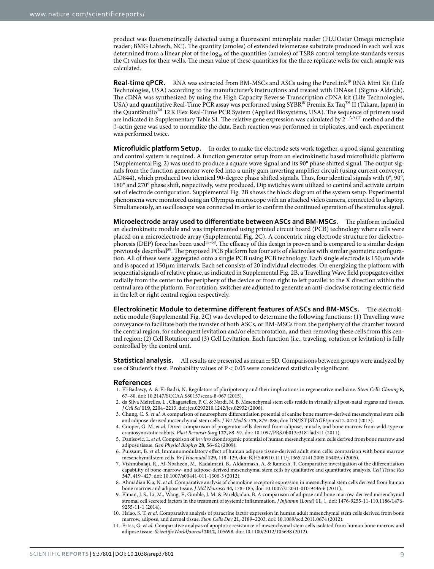product was fluorometrically detected using a fluorescent microplate reader (FLUOstar Omega microplate reader; BMG Labtech, NC). The quantity (amoles) of extended telomerase substrate produced in each well was determined from a linear plot of the log<sub>10</sub> of the quantities (amoles) of TSR8 control template standards versus the Ct values for their wells. The mean value of these quantities for the three replicate wells for each sample was calculated.

**Real-time qPCR.** RNA was extracted from BM-MSCs and ASCs using the PureLink<sup>®</sup> RNA Mini Kit (Life<br>Technologies, USA) according to the manufacturer's instructions and treated with DNAse I (Sigma Aldrich) Technologies, USA) according to the manufacturer's instructions and treated with DNAse I (Sigma-Aldrich). The cDNA was synthesized by using the High Capacity Reverse Transcription cDNA kit (Life Technologies, USA) and quantitative Real-Time PCR assay was performed using SYBR® Premix Ex Taq™ II (Takara, Japan) in the QuantStudio<sup>rm</sup> 12 K Flox Real Time PCR System (Applied Biogystems, USA). The sequence of primers used the QuantStudio™ 12 K Flex Real-Time PCR System (Applied Biosystems, USA). The sequence of primers used are indicated in Supplementary Table S1. The relative gene expression was calculated by  $2^{-\Delta\Delta CT}$  method and the β -actin gene was used to normalize the data. Each reaction was performed in triplicates, and each experiment was performed twice.

**Microfluidic platform Setup.** In order to make the electrode sets work together, a good signal generating and control system is required. A function generator setup from an electrokinetic based microfluidic platform (Supplemental Fig. 2) was used to produce a square wave signal and its 90° phase shifted signal. The output signals from the function generator were fed into a unity gain inverting amplifier circuit (using current conveyer, AD844), which produced two identical 90-degree phase shifted signals. Thus, four identical signals with 0°, 90°, 180° and 270° phase shift, respectively, were produced. Dip switches were utilized to control and activate certain set of electrode configuration. Supplemental Fig. 2B shows the block diagram of the system setup. Experimental phenomena were monitored using an Olympus microscope with an attached video camera, connected to a laptop. Simultaneously, an oscilloscope was connected in order to confirm the continued operation of the stimulus signal.

**Microelectrode array used to differentiate between ASCs and BM-MSCs.** The platform included an electrokinetic module and was implemented using printed circuit board (PCB) technology where cells were placed on a microelectrode array (Supplemental Fig. 2C). A concentric ring electrode structure for dielectro-phoresis (DEP) force has been used<sup>[55–58](#page-10-1)</sup>. The efficacy of this design is proven and is compared to a similar design previously described<sup>[59](#page-10-2)</sup>. The proposed PCB platform has four sets of electrodes with similar geometric configuration. All of these were aggregated onto a single PCB using PCB technology. Each single electrode is 150  $\mu$ m wide and is spaced at  $150 \mu m$  intervals. Each set consists of 20 individual electrodes. On energizing the platform with sequential signals of relative phase, as indicated in Supplemental Fig. 2B, a Travelling Wave field propagates either radially from the center to the periphery of the device or from right to left parallel to the X direction within the central area of the platform. For rotation, switches are adjusted to generate an anti-clockwise rotating electric field in the left or right central region respectively.

**Electrokinetic Module to determine different features of ASCs and BM-MSCs.** The electrokinetic module (Supplemental Fig. 2C) was developed to determine the following functions: (1) Travelling wave conveyance to facilitate both the transfer of both ASCs, or BM-MSCs from the periphery of the chamber toward the central region, for subsequent levitation and/or electrorotation, and then removing these cells from this central region; (2) Cell Rotation; and (3) Cell Levitation. Each function (i.e., traveling, rotation or levitation) is fully controlled by the control unit.

**Statistical analysis.** All results are presented as mean ± SD. Comparisons between groups were analyzed by use of Student's t test. Probability values of P < 0.05 were considered statistically significant.

#### **References**

- <span id="page-8-0"></span>1. El-Badawy, A. & El-Badri, N. Regulators of pluripotency and their implications in regenerative medicine. Stem Cells Cloning **8,** 67–80, doi: 10.2147/SCCAA.S80157sccaa-8-067 (2015).
- <span id="page-8-1"></span>2. da Silva Meirelles, L., Chagastelles, P. C. & Nardi, N. B. Mesenchymal stem cells reside in virtually all post-natal organs and tissues. J Cell Sci **119,** 2204–2213, doi: jcs.0293210.1242/jcs.02932 (2006).
- <span id="page-8-2"></span>3. Chung, C. S. et al. A comparison of neurosphere differentiation potential of canine bone marrow-derived mesenchymal stem cells and adipose-derived mesenchymal stem cells. J Vet Med Sci **75,** 879–886, doi: DN/JST.JSTAGE/jvms/12-0470 (2013).
- 4. Cooper, G. M. et al. Direct comparison of progenitor cells derived from adipose, muscle, and bone marrow from wild-type or craniosynostotic rabbits. Plast Reconstr Surg **127,** 88–97, doi: 10.1097/PRS.0b013e3181fad311 (2011).
- 5. Danisovic, L. et al. Comparison of in vitro chondrogenic potential of human mesenchymal stem cells derived from bone marrow and adipose tissue. Gen Physiol Biophys **28,** 56–62 (2009).
- 6. Puissant, B. et al. Immunomodulatory effect of human adipose tissue-derived adult stem cells: comparison with bone marrow mesenchymal stem cells. Br J Haematol **129,** 118–129, doi: BJH540910.1111/j.1365-2141.2005.05409.x (2005).
- 7. Vishnubalaji, R., Al-Nbaheen, M., Kadalmani, B., Aldahmash, A. & Ramesh, T. Comparative investigation of the differentiation capability of bone-marrow- and adipose-derived mesenchymal stem cells by qualitative and quantitative analysis. Cell Tissue Res **347,** 419–427, doi: 10.1007/s00441-011-1306-3 (2012).
- <span id="page-8-3"></span>8. Ahmadian Kia, N. et al. Comparative analysis of chemokine receptor's expression in mesenchymal stem cells derived from human bone marrow and adipose tissue. J Mol Neurosci **44,** 178–185, doi: 10.1007/s12031-010-9446-6 (2011).
- <span id="page-8-4"></span>9. Elman, J. S., Li, M., Wang, F., Gimble, J. M. & Parekkadan, B. A comparison of adipose and bone marrow-derived mesenchymal stromal cell secreted factors in the treatment of systemic inflammation. J Inflamm (Lond) **11,** 1, doi: 1476-9255-11-110.1186/1476- 9255-11-1 (2014).
- 10. Hsiao, S. T. et al. Comparative analysis of paracrine factor expression in human adult mesenchymal stem cells derived from bone marrow, adipose, and dermal tissue. Stem Cells Dev **21,** 2189–2203, doi: 10.1089/scd.2011.0674 (2012).
- <span id="page-8-5"></span>11. Ertas, G. et al. Comparative analysis of apoptotic resistance of mesenchymal stem cells isolated from human bone marrow and adipose tissue. ScientificWorldJournal **2012,** 105698, doi: 10.1100/2012/105698 (2012).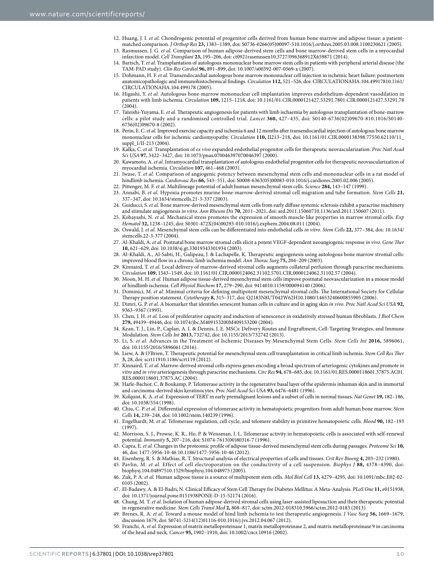- 12. Huang, J. I. et al. Chondrogenic potential of progenitor cells derived from human bone marrow and adipose tissue: a patientmatched comparison. J Orthop Res **23,** 1383–1389, doi: S0736-0266(05)00097-510.1016/j.orthres.2005.03.008.1100230621 (2005).
- 13. Rasmussen, J. G. et al. Comparison of human adipose-derived stem cells and bone marrow-derived stem cells in a myocardial infarction model. Cell Transplant **23,** 195–206, doi: ct0921rasmussen10.3727/096368912X659871 (2014).
- <span id="page-9-0"></span>14. Bartsch, T. et al. Transplantation of autologous mononuclear bone marrow stem cells in patients with peripheral arterial disease (the TAM-PAD study). Clin Res Cardiol **96,** 891–899, doi: 10.1007/s00392-007-0569-x (2007).
- 15. Dohmann, H. F. et al. Transendocardial autologous bone marrow mononuclear cell injection in ischemic heart failure: postmortem anatomicopathologic and immunohistochemical findings. Circulation **112,** 521–526, doi: CIRCULATIONAHA.104.49917810.1161/ CIRCULATIONAHA.104.499178 (2005).
- 16. Higashi, Y. et al. Autologous bone-marrow mononuclear cell implantation improves endothelium-dependent vasodilation in patients with limb ischemia. Circulation **109,** 1215–1218, doi: 10.1161/01.CIR.0000121427.53291.7801.CIR.0000121427.53291.78  $(2004)$
- 17. Tateishi-Yuyama, E. et al. Therapeutic angiogenesis for patients with limb ischaemia by autologous transplantation of bone-marrow cells: a pilot study and a randomised controlled trial. Lancet **360,** 427–435, doi: S0140-6736(02)09670-810.1016/S0140- 6736(02)09670-8 (2002).
- 18. Perin, E. C. et al. Improved exercise capacity and ischemia 6 and 12 months after transendocardial injection of autologous bone marrow mononuclear cells for ischemic cardiomyopathy. Circulation **110,** II213–218, doi: 10.1161/01.CIR.0000138398.77550.62110/11\_ suppl  $1/II-213$  (2004).
- <span id="page-9-1"></span>19. Kalka, C. et al. Transplantation of ex vivo expanded endothelial progenitor cells for therapeutic neovascularization. Proc Natl Acad Sci USA **97,** 3422–3427, doi: 10.1073/pnas.070046397070046397 (2000).
- <span id="page-9-2"></span>20. Kawamoto, A. et al. Intramyocardial transplantation of autologous endothelial progenitor cells for therapeutic neovascularization of myocardial ischemia. Circulation **107,** 461–468 (2003).
- <span id="page-9-3"></span>21. Iwase, T. et al. Comparison of angiogenic potency between mesenchymal stem cells and mononuclear cells in a rat model of hindlimb ischemia. Cardiovasc Res **66,** 543–551, doi: S0008-6363(05)00083-010.1016/j.cardiores.2005.02.006 (2005).
- <span id="page-9-5"></span><span id="page-9-4"></span>22. Pittenger, M. F. et al. Multilineage potential of adult human mesenchymal stem cells. Science **284,** 143–147 (1999). 23. Annabi, B. et al. Hypoxia promotes murine bone-marrow-derived stromal cell migration and tube formation. Stem Cells **21,**
- <span id="page-9-6"></span>337–347, doi: 10.1634/stemcells.21-3-337 (2003). 24. Guiducci, S. et al. Bone marrow-derived mesenchymal stem cells from early diffuse systemic sclerosis exhibit a paracrine machinery
- and stimulate angiogenesis in vitro. Ann Rheum Dis **70,** 2011–2021, doi: ard.2011.15060710.1136/ard.2011.150607 (2011). 25. Kobayashi, N. et al. Mechanical stress promotes the expression of smooth muscle-like properties in marrow stromal cells. Exp Hematol **32,** 1238–1245, doi: S0301-472X(04)00293-010.1016/j.exphem.2004.08.011 (2004).
- 26. Oswald, J. et al. Mesenchymal stem cells can be differentiated into endothelial cells in vitro. Stem Cells **22,** 377–384, doi: 10.1634/ stemcells.22-3-377 (2004).
- <span id="page-9-7"></span>27. Al-Khaldi, A. et al. Postnatal bone marrow stromal cells elicit a potent VEGF-dependent neoangiogenic response in vivo. Gene Ther **10,** 621–629, doi: 10.1038/sj.gt.33019343301934 (2003).
- 28. Al-Khaldi, A., Al-Sabti, H., Galipeau, J. & Lachapelle, K. Therapeutic angiogenesis using autologous bone marrow stromal cells: improved blood flow in a chronic limb ischemia model. Ann Thorac Surg **75,** 204–209 (2003).
- 29. Kinnaird, T. et al. Local delivery of marrow-derived stromal cells augments collateral perfusion through paracrine mechanisms. Circulation **109,** 1543–1549, doi: 10.1161/01.CIR.0000124062.31102.5701.CIR.0000124062.31102.57 (2004).
- <span id="page-9-12"></span>30. Moon, M. H. et al. Human adipose tissue-derived mesenchymal stem cells improve postnatal neovascularization in a mouse model of hindlimb ischemia. Cell Physiol Biochem **17,** 279–290, doi: 9414010.1159/000094140 (2006).
- <span id="page-9-8"></span>Dominici, M. et al. Minimal criteria for defining multipotent mesenchymal stromal cells. The International Society for Cellular Therapy position statement. Cytotherapy **8,** 315–317, doi: Q2183N8UT042W62H10.1080/14653240600855905 (2006).
- <span id="page-9-9"></span>32. Dimri, G. P. et al. A biomarker that identifies senescent human cells in culture and in aging skin in vivo. Proc Natl Acad Sci USA **92,** 9363–9367 (1995).
- <span id="page-9-10"></span>33. Chen, J. H. et al. Loss of proliferative capacity and induction of senescence in oxidatively stressed human fibroblasts. J Biol Chem **279,** 49439–49446, doi: 10.1074/jbc.M409153200M409153200 (2004).
- <span id="page-9-11"></span>34. Kean, T. J., Lin, P., Caplan, A. I. & Dennis, J. E. MSCs: Delivery Routes and Engraftment, Cell-Targeting Strategies, and Immune Modulation. Stem Cells Int **2013,** 732742, doi: 10.1155/2013/732742 (2013).
- 35. Li, S. et al. Advances in the Treatment of Ischemic Diseases by Mesenchymal Stem Cells. Stem Cells Int **2016,** 5896061, doi: 10.1155/2016/5896061 (2016).
- 36. Liew, A. & O'Brien, T. Therapeutic potential for mesenchymal stem cell transplantation in critical limb ischemia. Stem Cell Res Ther **3,** 28, doi: scrt11910.1186/scrt119 (2012).
- <span id="page-9-13"></span>37. Kinnaird, T. et al. Marrow-derived stromal cells express genes encoding a broad spectrum of arteriogenic cytokines and promote in vitro and in vivo arteriogenesis through paracrine mechanisms. Circ Res **94,** 678–685, doi: 10.1161/01.RES.0000118601.37875.AC01. RES.0000118601.37875.AC (2004).
- <span id="page-9-14"></span>38. Harle-Bachor, C. & Boukamp, P. Telomerase activity in the regenerative basal layer of the epidermis inhuman skin and in immortal and carcinoma-derived skin keratinocytes. Proc Natl Acad Sci USA **93,** 6476–6481 (1996).
- <span id="page-9-15"></span>39. Kolquist, K. A. et al. Expression of TERT in early premalignant lesions and a subset of cells in normal tissues. Nat Genet **19,** 182–186, doi: 10.1038/554 (1998).
- <span id="page-9-16"></span>40. Chiu, C. P. et al. Differential expression of telomerase activity in hematopoietic progenitors from adult human bone marrow. Stem Cells **14,** 239–248, doi: 10.1002/stem.140239 (1996).
- <span id="page-9-17"></span>41. Engelhardt, M. et al. Telomerase regulation, cell cycle, and telomere stability in primitive hematopoietic cells. Blood **90,** 182–193 (1997).
- <span id="page-9-18"></span>42. Morrison, S. J., Prowse, K. R., Ho, P. & Weissman, I. L. Telomerase activity in hematopoietic cells is associated with self-renewal potential. Immunity **5,** 207–216, doi: S1074-7613(00)80316-7 (1996).
- <span id="page-9-19"></span>43. Capra, E. et al. Changes in the proteomic profile of adipose tissue-derived mesenchymal stem cells during passages. Proteome Sci **10,** 46, doi: 1477-5956-10-46 10.1186/1477-5956-10-46 (2012).
- <span id="page-9-20"></span>44. Eisenberg, R. S. & Mathias, R. T. Structural analysis of electrical properties of cells and tissues. Crit Rev Bioeng **4,** 203–232 (1980).
- <span id="page-9-21"></span>45. Pavlin, M. et al. Effect of cell electroporation on the conductivity of a cell suspension. Biophys J **88,** 4378–4390, doi: biophysj.104.04897510.1529/biophysj.104.048975 (2005).
- <span id="page-9-22"></span>46. Zuk, P. A. et al. Human adipose tissue is a source of multipotent stem cells. Mol Biol Cell **13,** 4279–4295, doi: 10.1091/mbc.E02-02- 0105 (2002).
- <span id="page-9-23"></span>47. El-Badawy, A. & El-Badri, N. Clinical Efficacy of Stem Cell Therapy for Diabetes Mellitus: A Meta-Analysis. PLoS One **11,** e0151938, doi: 10.1371/journal.pone.0151938PONE-D-15-52174 (2016).
- <span id="page-9-24"></span>48. Chung, M. T. et al. Isolation of human adipose-derived stromal cells using laser-assisted liposuction and their therapeutic potential in regenerative medicine. Stem Cells Transl Med **2,** 808–817, doi: sctm.2012-018310.5966/sctm.2012-0183 (2013).
- <span id="page-9-25"></span>49. Brenes, R. A. et al. Toward a mouse model of hind limb ischemia to test therapeutic angiogenesis. J Vasc Surg **56,** 1669–1679, discussion 1679, doi: S0741-5214(12)01116-010.1016/j.jvs.2012.04.067 (2012).
- <span id="page-9-26"></span>50. Franchi, A. et al. Expression of matrix metalloproteinase 1, matrix metalloproteinase 2, and matrix metalloproteinase 9 in carcinoma of the head and neck. Cancer **95,** 1902–1910, doi: 10.1002/cncr.10916 (2002).